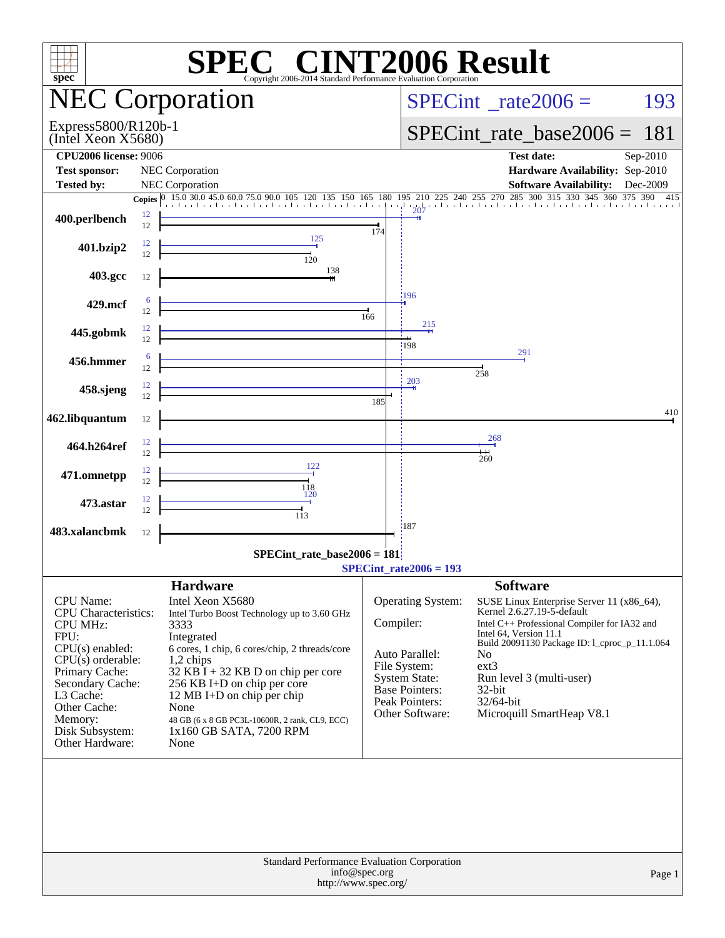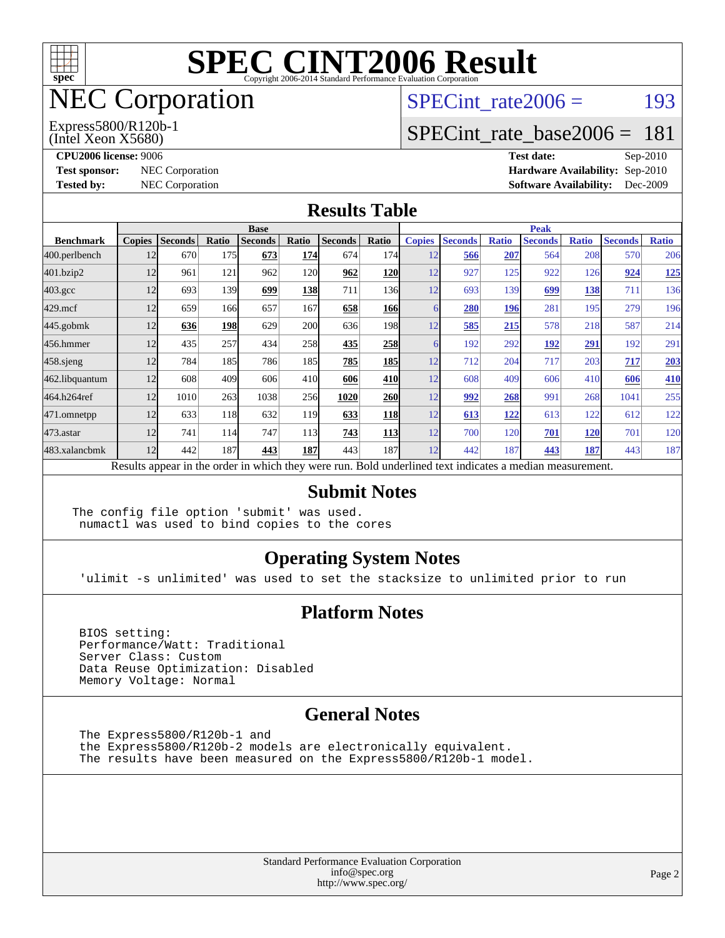

# NEC Corporation

(Intel Xeon X5680) Express5800/R120b-1 SPECint rate $2006 =$  193

#### [SPECint\\_rate\\_base2006 =](http://www.spec.org/auto/cpu2006/Docs/result-fields.html#SPECintratebase2006) 181

**[CPU2006 license:](http://www.spec.org/auto/cpu2006/Docs/result-fields.html#CPU2006license)** 9006 **[Test date:](http://www.spec.org/auto/cpu2006/Docs/result-fields.html#Testdate)** Sep-2010 **[Test sponsor:](http://www.spec.org/auto/cpu2006/Docs/result-fields.html#Testsponsor)** NEC Corporation **NEC Corporation [Hardware Availability:](http://www.spec.org/auto/cpu2006/Docs/result-fields.html#HardwareAvailability)** Sep-2010 **[Tested by:](http://www.spec.org/auto/cpu2006/Docs/result-fields.html#Testedby)** NEC Corporation **[Software Availability:](http://www.spec.org/auto/cpu2006/Docs/result-fields.html#SoftwareAvailability)** Dec-2009

#### **[Results Table](http://www.spec.org/auto/cpu2006/Docs/result-fields.html#ResultsTable)**

|                    | <b>Base</b>   |                |       |                                                                                                          |            |                |                  | <b>Peak</b>   |                |              |                |              |                |              |
|--------------------|---------------|----------------|-------|----------------------------------------------------------------------------------------------------------|------------|----------------|------------------|---------------|----------------|--------------|----------------|--------------|----------------|--------------|
| <b>Benchmark</b>   | <b>Copies</b> | <b>Seconds</b> | Ratio | <b>Seconds</b>                                                                                           | Ratio      | <b>Seconds</b> | Ratio            | <b>Copies</b> | <b>Seconds</b> | <b>Ratio</b> | <b>Seconds</b> | <b>Ratio</b> | <b>Seconds</b> | <b>Ratio</b> |
| 400.perlbench      | 12            | 670            | 175   | 673                                                                                                      | 174        | 674            | 174I             | 12            | 566            | 207          | 564            | 208          | 570            | 206          |
| 401.bzip2          | 12            | 961            | 121   | 962                                                                                                      | 120        | 962            | <b>120</b>       | 12            | 927            | 125          | 922            | 126          | 924            | <u>125</u>   |
| $403.\mathrm{gcc}$ | 12            | 693            | 139   | 699                                                                                                      | <b>138</b> | 711            | 136 <sup>I</sup> | 12            | 693            | 139          | 699            | 138          | 711            | 136          |
| $429$ .mcf         | 12            | 659            | 166   | 657                                                                                                      | 167        | 658            | 166              |               | 280            | 196          | 281            | 195          | 279            | 196          |
| $445$ .gobmk       | 12            | 636            | 198   | 629                                                                                                      | <b>200</b> | 636            | 198 <sup>1</sup> | 12            | 585            | 215          | 578            | 218          | 587            | 214          |
| 456.hmmer          | 12            | 435            | 257   | 434                                                                                                      | 258        | 435            | 258              | 6             | 192            | 292          | 192            | 291          | 192            | 291          |
| $458$ .sjeng       | 12            | 784            | 185   | 786                                                                                                      | 185        | 785            | <b>185</b>       | 12            | 712            | 204          | 717            | 203          | 717            | 203          |
| 462.libquantum     | 12            | 608            | 409   | 606                                                                                                      | 410        | 606            | 410              | 12            | 608            | 409          | 606            | 410          | 606            | <b>410</b>   |
| 464.h264ref        | 12            | 1010           | 263   | 1038                                                                                                     | 256        | 1020           | <b>260</b>       | 12            | 992            | 268          | 991            | 268          | 1041           | 255          |
| 471.omnetpp        | 12            | 633            | 118   | 632                                                                                                      | 119        | 633            | <b>118</b>       | 12            | 613            | 122          | 613            | 122          | 612            | 122          |
| $473$ . astar      | 12            | 741            | 114   | 747                                                                                                      | 113        | 743            | <b>113</b>       | 12            | 700            | 120          | 701            | 120          | 701            | 120          |
| 483.xalancbmk      | 12            | 442            | 187   | 443                                                                                                      | 187        | 443            | 187              | 12            | 442            | 187          | 443            | 187          | 443            | 187          |
|                    |               |                |       | Results appear in the order in which they were run. Bold underlined text indicates a median measurement. |            |                |                  |               |                |              |                |              |                |              |

#### **[Submit Notes](http://www.spec.org/auto/cpu2006/Docs/result-fields.html#SubmitNotes)**

The config file option 'submit' was used. numactl was used to bind copies to the cores

#### **[Operating System Notes](http://www.spec.org/auto/cpu2006/Docs/result-fields.html#OperatingSystemNotes)**

'ulimit -s unlimited' was used to set the stacksize to unlimited prior to run

#### **[Platform Notes](http://www.spec.org/auto/cpu2006/Docs/result-fields.html#PlatformNotes)**

 BIOS setting: Performance/Watt: Traditional Server Class: Custom Data Reuse Optimization: Disabled Memory Voltage: Normal

#### **[General Notes](http://www.spec.org/auto/cpu2006/Docs/result-fields.html#GeneralNotes)**

 The Express5800/R120b-1 and the Express5800/R120b-2 models are electronically equivalent. The results have been measured on the Express5800/R120b-1 model.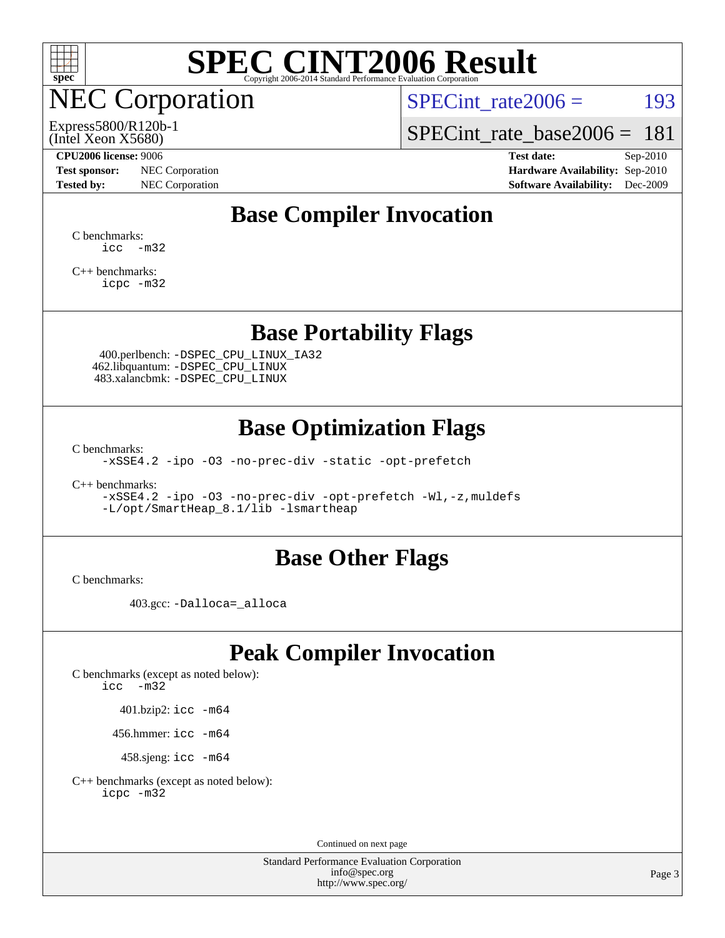

## NEC Corporation

Express5800/R120b-1

SPECint rate $2006 =$  193

[SPECint\\_rate\\_base2006 =](http://www.spec.org/auto/cpu2006/Docs/result-fields.html#SPECintratebase2006) 181

(Intel Xeon X5680)

**[Test sponsor:](http://www.spec.org/auto/cpu2006/Docs/result-fields.html#Testsponsor)** NEC Corporation **NEC Corporation [Hardware Availability:](http://www.spec.org/auto/cpu2006/Docs/result-fields.html#HardwareAvailability)** Sep-2010

**[CPU2006 license:](http://www.spec.org/auto/cpu2006/Docs/result-fields.html#CPU2006license)** 9006 **[Test date:](http://www.spec.org/auto/cpu2006/Docs/result-fields.html#Testdate)** Sep-2010 **[Tested by:](http://www.spec.org/auto/cpu2006/Docs/result-fields.html#Testedby)** NEC Corporation **[Software Availability:](http://www.spec.org/auto/cpu2006/Docs/result-fields.html#SoftwareAvailability)** Dec-2009

### **[Base Compiler Invocation](http://www.spec.org/auto/cpu2006/Docs/result-fields.html#BaseCompilerInvocation)**

[C benchmarks](http://www.spec.org/auto/cpu2006/Docs/result-fields.html#Cbenchmarks):  $\text{icc}$   $-\text{m32}$ 

[C++ benchmarks:](http://www.spec.org/auto/cpu2006/Docs/result-fields.html#CXXbenchmarks) [icpc -m32](http://www.spec.org/cpu2006/results/res2010q3/cpu2006-20100910-13165.flags.html#user_CXXbase_intel_icpc_32bit_4e5a5ef1a53fd332b3c49e69c3330699)

#### **[Base Portability Flags](http://www.spec.org/auto/cpu2006/Docs/result-fields.html#BasePortabilityFlags)**

 400.perlbench: [-DSPEC\\_CPU\\_LINUX\\_IA32](http://www.spec.org/cpu2006/results/res2010q3/cpu2006-20100910-13165.flags.html#b400.perlbench_baseCPORTABILITY_DSPEC_CPU_LINUX_IA32) 462.libquantum: [-DSPEC\\_CPU\\_LINUX](http://www.spec.org/cpu2006/results/res2010q3/cpu2006-20100910-13165.flags.html#b462.libquantum_baseCPORTABILITY_DSPEC_CPU_LINUX) 483.xalancbmk: [-DSPEC\\_CPU\\_LINUX](http://www.spec.org/cpu2006/results/res2010q3/cpu2006-20100910-13165.flags.html#b483.xalancbmk_baseCXXPORTABILITY_DSPEC_CPU_LINUX)

### **[Base Optimization Flags](http://www.spec.org/auto/cpu2006/Docs/result-fields.html#BaseOptimizationFlags)**

[C benchmarks](http://www.spec.org/auto/cpu2006/Docs/result-fields.html#Cbenchmarks):

[-xSSE4.2](http://www.spec.org/cpu2006/results/res2010q3/cpu2006-20100910-13165.flags.html#user_CCbase_f-xSSE42_f91528193cf0b216347adb8b939d4107) [-ipo](http://www.spec.org/cpu2006/results/res2010q3/cpu2006-20100910-13165.flags.html#user_CCbase_f-ipo) [-O3](http://www.spec.org/cpu2006/results/res2010q3/cpu2006-20100910-13165.flags.html#user_CCbase_f-O3) [-no-prec-div](http://www.spec.org/cpu2006/results/res2010q3/cpu2006-20100910-13165.flags.html#user_CCbase_f-no-prec-div) [-static](http://www.spec.org/cpu2006/results/res2010q3/cpu2006-20100910-13165.flags.html#user_CCbase_f-static) [-opt-prefetch](http://www.spec.org/cpu2006/results/res2010q3/cpu2006-20100910-13165.flags.html#user_CCbase_f-opt-prefetch)

[C++ benchmarks:](http://www.spec.org/auto/cpu2006/Docs/result-fields.html#CXXbenchmarks)

[-xSSE4.2](http://www.spec.org/cpu2006/results/res2010q3/cpu2006-20100910-13165.flags.html#user_CXXbase_f-xSSE42_f91528193cf0b216347adb8b939d4107) [-ipo](http://www.spec.org/cpu2006/results/res2010q3/cpu2006-20100910-13165.flags.html#user_CXXbase_f-ipo) [-O3](http://www.spec.org/cpu2006/results/res2010q3/cpu2006-20100910-13165.flags.html#user_CXXbase_f-O3) [-no-prec-div](http://www.spec.org/cpu2006/results/res2010q3/cpu2006-20100910-13165.flags.html#user_CXXbase_f-no-prec-div) [-opt-prefetch](http://www.spec.org/cpu2006/results/res2010q3/cpu2006-20100910-13165.flags.html#user_CXXbase_f-opt-prefetch) [-Wl,-z,muldefs](http://www.spec.org/cpu2006/results/res2010q3/cpu2006-20100910-13165.flags.html#user_CXXbase_link_force_multiple1_74079c344b956b9658436fd1b6dd3a8a) [-L/opt/SmartHeap\\_8.1/lib -lsmartheap](http://www.spec.org/cpu2006/results/res2010q3/cpu2006-20100910-13165.flags.html#user_CXXbase_SmartHeap_d5ba4dfc9de25d3c657c7de7476e66c5)

#### **[Base Other Flags](http://www.spec.org/auto/cpu2006/Docs/result-fields.html#BaseOtherFlags)**

[C benchmarks](http://www.spec.org/auto/cpu2006/Docs/result-fields.html#Cbenchmarks):

403.gcc: [-Dalloca=\\_alloca](http://www.spec.org/cpu2006/results/res2010q3/cpu2006-20100910-13165.flags.html#b403.gcc_baseEXTRA_CFLAGS_Dalloca_be3056838c12de2578596ca5467af7f3)

### **[Peak Compiler Invocation](http://www.spec.org/auto/cpu2006/Docs/result-fields.html#PeakCompilerInvocation)**

[C benchmarks \(except as noted below\)](http://www.spec.org/auto/cpu2006/Docs/result-fields.html#Cbenchmarksexceptasnotedbelow): [icc -m32](http://www.spec.org/cpu2006/results/res2010q3/cpu2006-20100910-13165.flags.html#user_CCpeak_intel_icc_32bit_5ff4a39e364c98233615fdd38438c6f2)

401.bzip2: [icc -m64](http://www.spec.org/cpu2006/results/res2010q3/cpu2006-20100910-13165.flags.html#user_peakCCLD401_bzip2_intel_icc_64bit_bda6cc9af1fdbb0edc3795bac97ada53)

456.hmmer: [icc -m64](http://www.spec.org/cpu2006/results/res2010q3/cpu2006-20100910-13165.flags.html#user_peakCCLD456_hmmer_intel_icc_64bit_bda6cc9af1fdbb0edc3795bac97ada53)

458.sjeng: [icc -m64](http://www.spec.org/cpu2006/results/res2010q3/cpu2006-20100910-13165.flags.html#user_peakCCLD458_sjeng_intel_icc_64bit_bda6cc9af1fdbb0edc3795bac97ada53)

[C++ benchmarks \(except as noted below\):](http://www.spec.org/auto/cpu2006/Docs/result-fields.html#CXXbenchmarksexceptasnotedbelow) [icpc -m32](http://www.spec.org/cpu2006/results/res2010q3/cpu2006-20100910-13165.flags.html#user_CXXpeak_intel_icpc_32bit_4e5a5ef1a53fd332b3c49e69c3330699)

Continued on next page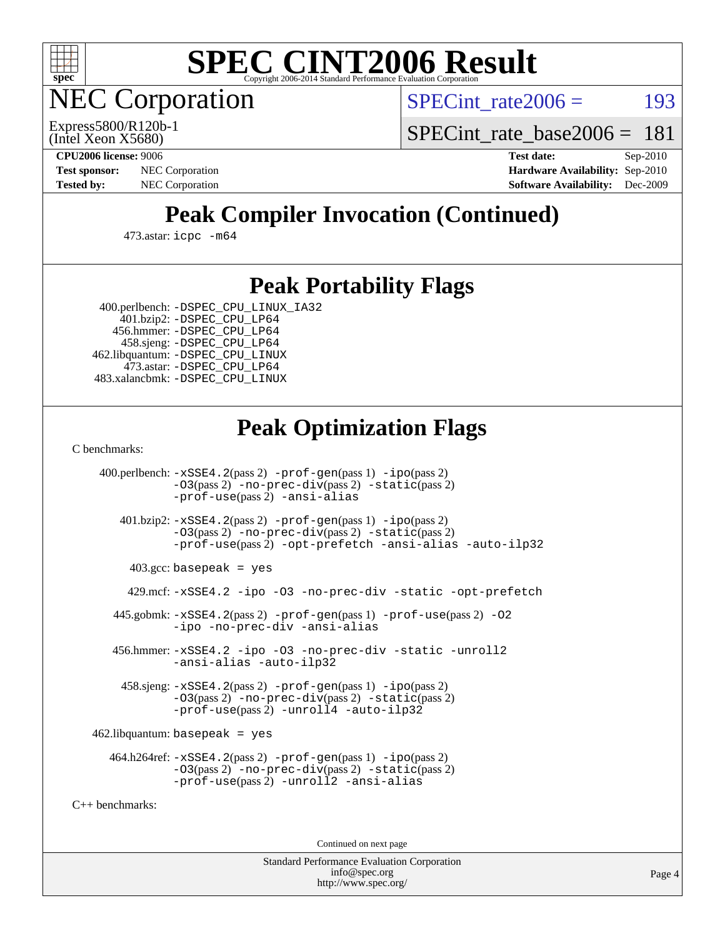

**EC Corporation** 

SPECint rate $2006 =$  193

(Intel Xeon X5680) Express5800/R120b-1 SPECint rate base2006 =  $181$ 

**[CPU2006 license:](http://www.spec.org/auto/cpu2006/Docs/result-fields.html#CPU2006license)** 9006 **[Test date:](http://www.spec.org/auto/cpu2006/Docs/result-fields.html#Testdate)** Sep-2010 **[Test sponsor:](http://www.spec.org/auto/cpu2006/Docs/result-fields.html#Testsponsor)** NEC Corporation **NEC Corporation [Hardware Availability:](http://www.spec.org/auto/cpu2006/Docs/result-fields.html#HardwareAvailability)** Sep-2010 **[Tested by:](http://www.spec.org/auto/cpu2006/Docs/result-fields.html#Testedby)** NEC Corporation **[Software Availability:](http://www.spec.org/auto/cpu2006/Docs/result-fields.html#SoftwareAvailability)** Dec-2009

## **[Peak Compiler Invocation \(Continued\)](http://www.spec.org/auto/cpu2006/Docs/result-fields.html#PeakCompilerInvocation)**

473.astar: [icpc -m64](http://www.spec.org/cpu2006/results/res2010q3/cpu2006-20100910-13165.flags.html#user_peakCXXLD473_astar_intel_icpc_64bit_fc66a5337ce925472a5c54ad6a0de310)

## **[Peak Portability Flags](http://www.spec.org/auto/cpu2006/Docs/result-fields.html#PeakPortabilityFlags)**

400.perlbench: [-DSPEC\\_CPU\\_LINUX\\_IA32](http://www.spec.org/cpu2006/results/res2010q3/cpu2006-20100910-13165.flags.html#b400.perlbench_peakCPORTABILITY_DSPEC_CPU_LINUX_IA32)

 401.bzip2: [-DSPEC\\_CPU\\_LP64](http://www.spec.org/cpu2006/results/res2010q3/cpu2006-20100910-13165.flags.html#suite_peakCPORTABILITY401_bzip2_DSPEC_CPU_LP64) 456.hmmer: [-DSPEC\\_CPU\\_LP64](http://www.spec.org/cpu2006/results/res2010q3/cpu2006-20100910-13165.flags.html#suite_peakCPORTABILITY456_hmmer_DSPEC_CPU_LP64) 458.sjeng: [-DSPEC\\_CPU\\_LP64](http://www.spec.org/cpu2006/results/res2010q3/cpu2006-20100910-13165.flags.html#suite_peakCPORTABILITY458_sjeng_DSPEC_CPU_LP64) 462.libquantum: [-DSPEC\\_CPU\\_LINUX](http://www.spec.org/cpu2006/results/res2010q3/cpu2006-20100910-13165.flags.html#b462.libquantum_peakCPORTABILITY_DSPEC_CPU_LINUX) 473.astar: [-DSPEC\\_CPU\\_LP64](http://www.spec.org/cpu2006/results/res2010q3/cpu2006-20100910-13165.flags.html#suite_peakCXXPORTABILITY473_astar_DSPEC_CPU_LP64) 483.xalancbmk: [-DSPEC\\_CPU\\_LINUX](http://www.spec.org/cpu2006/results/res2010q3/cpu2006-20100910-13165.flags.html#b483.xalancbmk_peakCXXPORTABILITY_DSPEC_CPU_LINUX)

## **[Peak Optimization Flags](http://www.spec.org/auto/cpu2006/Docs/result-fields.html#PeakOptimizationFlags)**

[C benchmarks](http://www.spec.org/auto/cpu2006/Docs/result-fields.html#Cbenchmarks):

 400.perlbench: [-xSSE4.2](http://www.spec.org/cpu2006/results/res2010q3/cpu2006-20100910-13165.flags.html#user_peakPASS2_CFLAGSPASS2_LDCFLAGS400_perlbench_f-xSSE42_f91528193cf0b216347adb8b939d4107)(pass 2) [-prof-gen](http://www.spec.org/cpu2006/results/res2010q3/cpu2006-20100910-13165.flags.html#user_peakPASS1_CFLAGSPASS1_LDCFLAGS400_perlbench_prof_gen_e43856698f6ca7b7e442dfd80e94a8fc)(pass 1) [-ipo](http://www.spec.org/cpu2006/results/res2010q3/cpu2006-20100910-13165.flags.html#user_peakPASS2_CFLAGSPASS2_LDCFLAGS400_perlbench_f-ipo)(pass 2) [-O3](http://www.spec.org/cpu2006/results/res2010q3/cpu2006-20100910-13165.flags.html#user_peakPASS2_CFLAGSPASS2_LDCFLAGS400_perlbench_f-O3)(pass 2) [-no-prec-div](http://www.spec.org/cpu2006/results/res2010q3/cpu2006-20100910-13165.flags.html#user_peakPASS2_CFLAGSPASS2_LDCFLAGS400_perlbench_f-no-prec-div)(pass 2) [-static](http://www.spec.org/cpu2006/results/res2010q3/cpu2006-20100910-13165.flags.html#user_peakPASS2_CFLAGSPASS2_LDCFLAGS400_perlbench_f-static)(pass 2) [-prof-use](http://www.spec.org/cpu2006/results/res2010q3/cpu2006-20100910-13165.flags.html#user_peakPASS2_CFLAGSPASS2_LDCFLAGS400_perlbench_prof_use_bccf7792157ff70d64e32fe3e1250b55)(pass 2) [-ansi-alias](http://www.spec.org/cpu2006/results/res2010q3/cpu2006-20100910-13165.flags.html#user_peakCOPTIMIZE400_perlbench_f-ansi-alias)

 401.bzip2: [-xSSE4.2](http://www.spec.org/cpu2006/results/res2010q3/cpu2006-20100910-13165.flags.html#user_peakPASS2_CFLAGSPASS2_LDCFLAGS401_bzip2_f-xSSE42_f91528193cf0b216347adb8b939d4107)(pass 2) [-prof-gen](http://www.spec.org/cpu2006/results/res2010q3/cpu2006-20100910-13165.flags.html#user_peakPASS1_CFLAGSPASS1_LDCFLAGS401_bzip2_prof_gen_e43856698f6ca7b7e442dfd80e94a8fc)(pass 1) [-ipo](http://www.spec.org/cpu2006/results/res2010q3/cpu2006-20100910-13165.flags.html#user_peakPASS2_CFLAGSPASS2_LDCFLAGS401_bzip2_f-ipo)(pass 2) [-O3](http://www.spec.org/cpu2006/results/res2010q3/cpu2006-20100910-13165.flags.html#user_peakPASS2_CFLAGSPASS2_LDCFLAGS401_bzip2_f-O3)(pass 2) [-no-prec-div](http://www.spec.org/cpu2006/results/res2010q3/cpu2006-20100910-13165.flags.html#user_peakPASS2_CFLAGSPASS2_LDCFLAGS401_bzip2_f-no-prec-div)(pass 2) [-static](http://www.spec.org/cpu2006/results/res2010q3/cpu2006-20100910-13165.flags.html#user_peakPASS2_CFLAGSPASS2_LDCFLAGS401_bzip2_f-static)(pass 2) [-prof-use](http://www.spec.org/cpu2006/results/res2010q3/cpu2006-20100910-13165.flags.html#user_peakPASS2_CFLAGSPASS2_LDCFLAGS401_bzip2_prof_use_bccf7792157ff70d64e32fe3e1250b55)(pass 2) [-opt-prefetch](http://www.spec.org/cpu2006/results/res2010q3/cpu2006-20100910-13165.flags.html#user_peakCOPTIMIZE401_bzip2_f-opt-prefetch) [-ansi-alias](http://www.spec.org/cpu2006/results/res2010q3/cpu2006-20100910-13165.flags.html#user_peakCOPTIMIZE401_bzip2_f-ansi-alias) [-auto-ilp32](http://www.spec.org/cpu2006/results/res2010q3/cpu2006-20100910-13165.flags.html#user_peakCOPTIMIZE401_bzip2_f-auto-ilp32)

 $403.\text{gcc: basepeak}$  = yes

429.mcf: [-xSSE4.2](http://www.spec.org/cpu2006/results/res2010q3/cpu2006-20100910-13165.flags.html#user_peakCOPTIMIZE429_mcf_f-xSSE42_f91528193cf0b216347adb8b939d4107) [-ipo](http://www.spec.org/cpu2006/results/res2010q3/cpu2006-20100910-13165.flags.html#user_peakCOPTIMIZE429_mcf_f-ipo) [-O3](http://www.spec.org/cpu2006/results/res2010q3/cpu2006-20100910-13165.flags.html#user_peakCOPTIMIZE429_mcf_f-O3) [-no-prec-div](http://www.spec.org/cpu2006/results/res2010q3/cpu2006-20100910-13165.flags.html#user_peakCOPTIMIZE429_mcf_f-no-prec-div) [-static](http://www.spec.org/cpu2006/results/res2010q3/cpu2006-20100910-13165.flags.html#user_peakCOPTIMIZE429_mcf_f-static) [-opt-prefetch](http://www.spec.org/cpu2006/results/res2010q3/cpu2006-20100910-13165.flags.html#user_peakCOPTIMIZE429_mcf_f-opt-prefetch)

 445.gobmk: [-xSSE4.2](http://www.spec.org/cpu2006/results/res2010q3/cpu2006-20100910-13165.flags.html#user_peakPASS2_CFLAGSPASS2_LDCFLAGS445_gobmk_f-xSSE42_f91528193cf0b216347adb8b939d4107)(pass 2) [-prof-gen](http://www.spec.org/cpu2006/results/res2010q3/cpu2006-20100910-13165.flags.html#user_peakPASS1_CFLAGSPASS1_LDCFLAGS445_gobmk_prof_gen_e43856698f6ca7b7e442dfd80e94a8fc)(pass 1) [-prof-use](http://www.spec.org/cpu2006/results/res2010q3/cpu2006-20100910-13165.flags.html#user_peakPASS2_CFLAGSPASS2_LDCFLAGS445_gobmk_prof_use_bccf7792157ff70d64e32fe3e1250b55)(pass 2) [-O2](http://www.spec.org/cpu2006/results/res2010q3/cpu2006-20100910-13165.flags.html#user_peakCOPTIMIZE445_gobmk_f-O2) [-ipo](http://www.spec.org/cpu2006/results/res2010q3/cpu2006-20100910-13165.flags.html#user_peakCOPTIMIZE445_gobmk_f-ipo) [-no-prec-div](http://www.spec.org/cpu2006/results/res2010q3/cpu2006-20100910-13165.flags.html#user_peakCOPTIMIZE445_gobmk_f-no-prec-div) [-ansi-alias](http://www.spec.org/cpu2006/results/res2010q3/cpu2006-20100910-13165.flags.html#user_peakCOPTIMIZE445_gobmk_f-ansi-alias)

 456.hmmer: [-xSSE4.2](http://www.spec.org/cpu2006/results/res2010q3/cpu2006-20100910-13165.flags.html#user_peakCOPTIMIZE456_hmmer_f-xSSE42_f91528193cf0b216347adb8b939d4107) [-ipo](http://www.spec.org/cpu2006/results/res2010q3/cpu2006-20100910-13165.flags.html#user_peakCOPTIMIZE456_hmmer_f-ipo) [-O3](http://www.spec.org/cpu2006/results/res2010q3/cpu2006-20100910-13165.flags.html#user_peakCOPTIMIZE456_hmmer_f-O3) [-no-prec-div](http://www.spec.org/cpu2006/results/res2010q3/cpu2006-20100910-13165.flags.html#user_peakCOPTIMIZE456_hmmer_f-no-prec-div) [-static](http://www.spec.org/cpu2006/results/res2010q3/cpu2006-20100910-13165.flags.html#user_peakCOPTIMIZE456_hmmer_f-static) [-unroll2](http://www.spec.org/cpu2006/results/res2010q3/cpu2006-20100910-13165.flags.html#user_peakCOPTIMIZE456_hmmer_f-unroll_784dae83bebfb236979b41d2422d7ec2) [-ansi-alias](http://www.spec.org/cpu2006/results/res2010q3/cpu2006-20100910-13165.flags.html#user_peakCOPTIMIZE456_hmmer_f-ansi-alias) [-auto-ilp32](http://www.spec.org/cpu2006/results/res2010q3/cpu2006-20100910-13165.flags.html#user_peakCOPTIMIZE456_hmmer_f-auto-ilp32)

 458.sjeng: [-xSSE4.2](http://www.spec.org/cpu2006/results/res2010q3/cpu2006-20100910-13165.flags.html#user_peakPASS2_CFLAGSPASS2_LDCFLAGS458_sjeng_f-xSSE42_f91528193cf0b216347adb8b939d4107)(pass 2) [-prof-gen](http://www.spec.org/cpu2006/results/res2010q3/cpu2006-20100910-13165.flags.html#user_peakPASS1_CFLAGSPASS1_LDCFLAGS458_sjeng_prof_gen_e43856698f6ca7b7e442dfd80e94a8fc)(pass 1) [-ipo](http://www.spec.org/cpu2006/results/res2010q3/cpu2006-20100910-13165.flags.html#user_peakPASS2_CFLAGSPASS2_LDCFLAGS458_sjeng_f-ipo)(pass 2) [-O3](http://www.spec.org/cpu2006/results/res2010q3/cpu2006-20100910-13165.flags.html#user_peakPASS2_CFLAGSPASS2_LDCFLAGS458_sjeng_f-O3)(pass 2) [-no-prec-div](http://www.spec.org/cpu2006/results/res2010q3/cpu2006-20100910-13165.flags.html#user_peakPASS2_CFLAGSPASS2_LDCFLAGS458_sjeng_f-no-prec-div)(pass 2) [-static](http://www.spec.org/cpu2006/results/res2010q3/cpu2006-20100910-13165.flags.html#user_peakPASS2_CFLAGSPASS2_LDCFLAGS458_sjeng_f-static)(pass 2) [-prof-use](http://www.spec.org/cpu2006/results/res2010q3/cpu2006-20100910-13165.flags.html#user_peakPASS2_CFLAGSPASS2_LDCFLAGS458_sjeng_prof_use_bccf7792157ff70d64e32fe3e1250b55)(pass 2) [-unroll4](http://www.spec.org/cpu2006/results/res2010q3/cpu2006-20100910-13165.flags.html#user_peakCOPTIMIZE458_sjeng_f-unroll_4e5e4ed65b7fd20bdcd365bec371b81f) [-auto-ilp32](http://www.spec.org/cpu2006/results/res2010q3/cpu2006-20100910-13165.flags.html#user_peakCOPTIMIZE458_sjeng_f-auto-ilp32)

 $462$ .libquantum: basepeak = yes

 464.h264ref: [-xSSE4.2](http://www.spec.org/cpu2006/results/res2010q3/cpu2006-20100910-13165.flags.html#user_peakPASS2_CFLAGSPASS2_LDCFLAGS464_h264ref_f-xSSE42_f91528193cf0b216347adb8b939d4107)(pass 2) [-prof-gen](http://www.spec.org/cpu2006/results/res2010q3/cpu2006-20100910-13165.flags.html#user_peakPASS1_CFLAGSPASS1_LDCFLAGS464_h264ref_prof_gen_e43856698f6ca7b7e442dfd80e94a8fc)(pass 1) [-ipo](http://www.spec.org/cpu2006/results/res2010q3/cpu2006-20100910-13165.flags.html#user_peakPASS2_CFLAGSPASS2_LDCFLAGS464_h264ref_f-ipo)(pass 2) [-O3](http://www.spec.org/cpu2006/results/res2010q3/cpu2006-20100910-13165.flags.html#user_peakPASS2_CFLAGSPASS2_LDCFLAGS464_h264ref_f-O3)(pass 2) [-no-prec-div](http://www.spec.org/cpu2006/results/res2010q3/cpu2006-20100910-13165.flags.html#user_peakPASS2_CFLAGSPASS2_LDCFLAGS464_h264ref_f-no-prec-div)(pass 2) [-static](http://www.spec.org/cpu2006/results/res2010q3/cpu2006-20100910-13165.flags.html#user_peakPASS2_CFLAGSPASS2_LDCFLAGS464_h264ref_f-static)(pass 2) [-prof-use](http://www.spec.org/cpu2006/results/res2010q3/cpu2006-20100910-13165.flags.html#user_peakPASS2_CFLAGSPASS2_LDCFLAGS464_h264ref_prof_use_bccf7792157ff70d64e32fe3e1250b55)(pass 2) [-unroll2](http://www.spec.org/cpu2006/results/res2010q3/cpu2006-20100910-13165.flags.html#user_peakCOPTIMIZE464_h264ref_f-unroll_784dae83bebfb236979b41d2422d7ec2) [-ansi-alias](http://www.spec.org/cpu2006/results/res2010q3/cpu2006-20100910-13165.flags.html#user_peakCOPTIMIZE464_h264ref_f-ansi-alias)

[C++ benchmarks:](http://www.spec.org/auto/cpu2006/Docs/result-fields.html#CXXbenchmarks)

Continued on next page